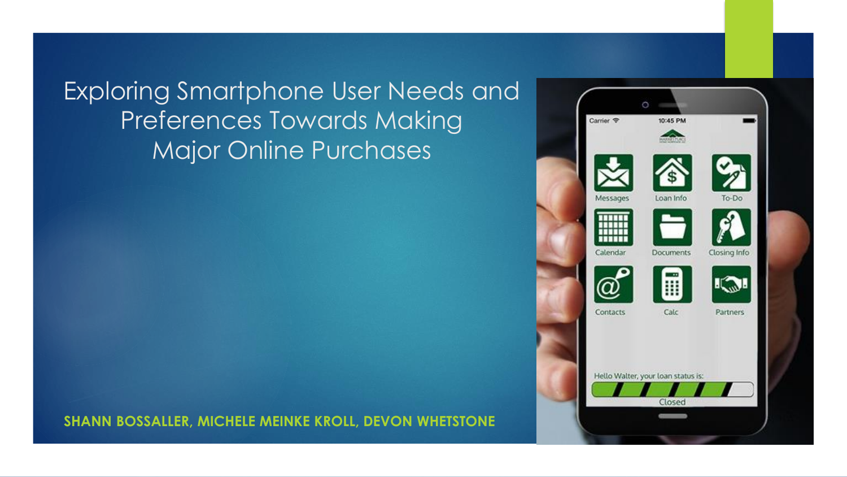Exploring Smartphone User Needs and Preferences Towards Making Major Online Purchases



**SHANN BOSSALLER, MICHELE MEINKE KROLL, DEVON WHETSTONE**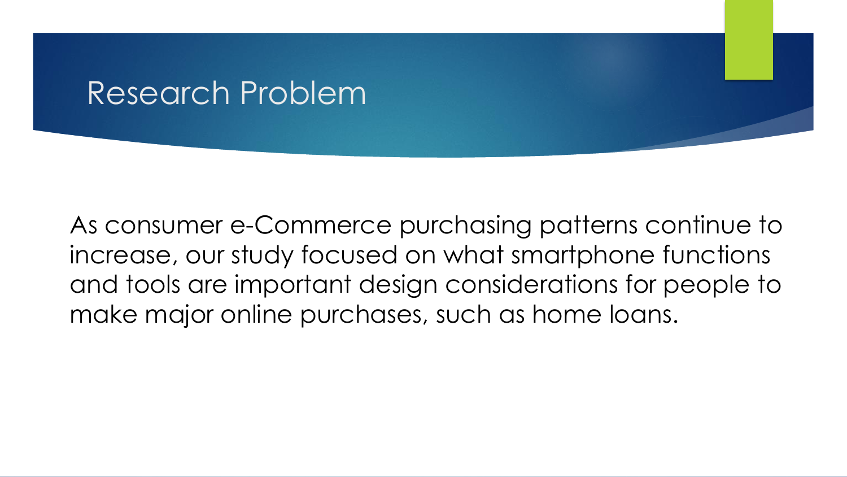### Research Problem

As consumer e-Commerce purchasing patterns continue to increase, our study focused on what smartphone functions and tools are important design considerations for people to make major online purchases, such as home loans.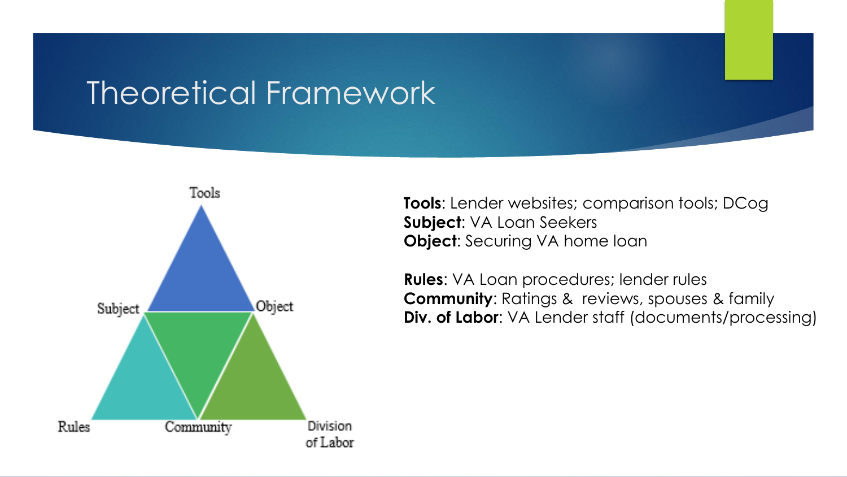### Theoretical Framework



**Tools**: Lender websites; comparison tools; DCog **Subject**: VA Loan Seekers **Object:** Securing VA home loan

**Rules**: VA Loan procedures; lender rules **Community**: Ratings & reviews, spouses & family **Div. of Labor**: VA Lender staff (documents/processing)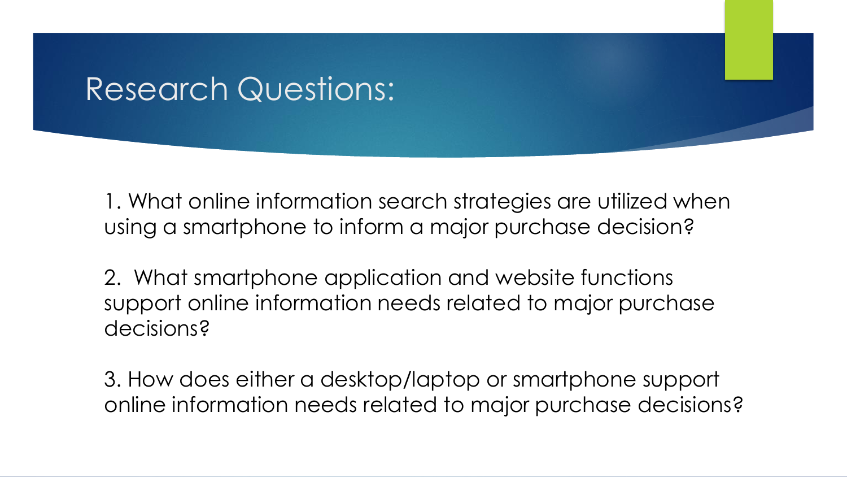### Research Questions:

1. What online information search strategies are utilized when using a smartphone to inform a major purchase decision?

2. What smartphone application and website functions support online information needs related to major purchase decisions?

3. How does either a desktop/laptop or smartphone support online information needs related to major purchase decisions?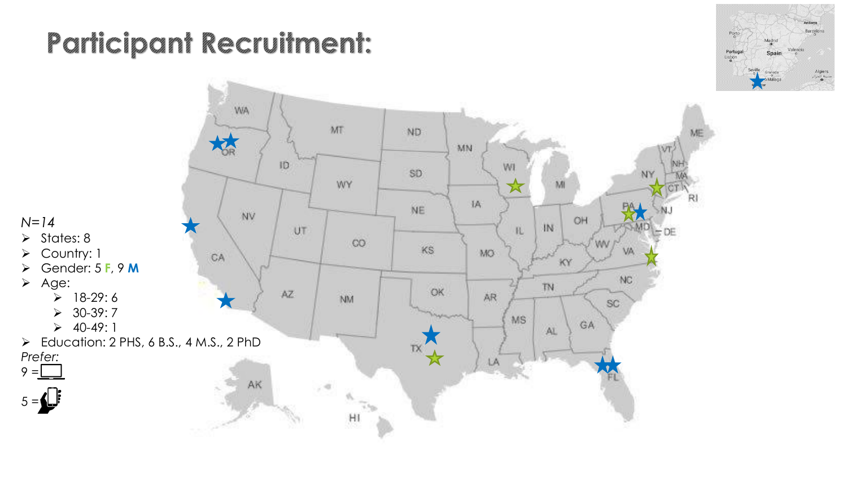# **Participant Recruitment:**



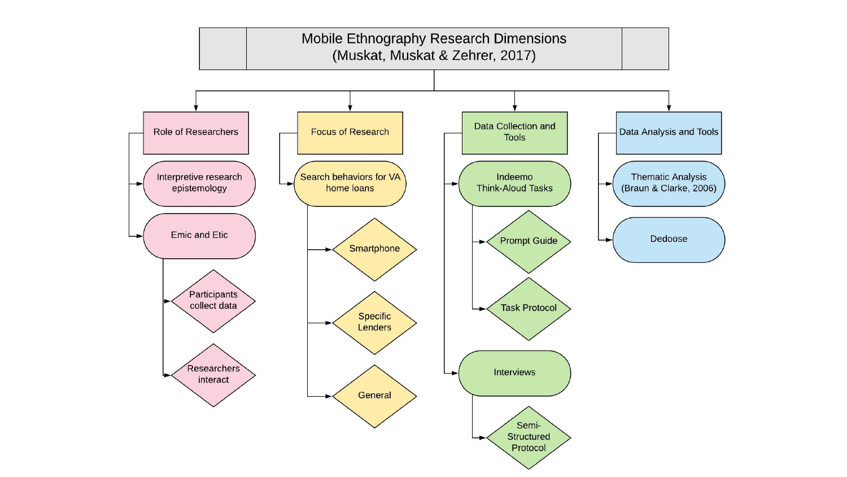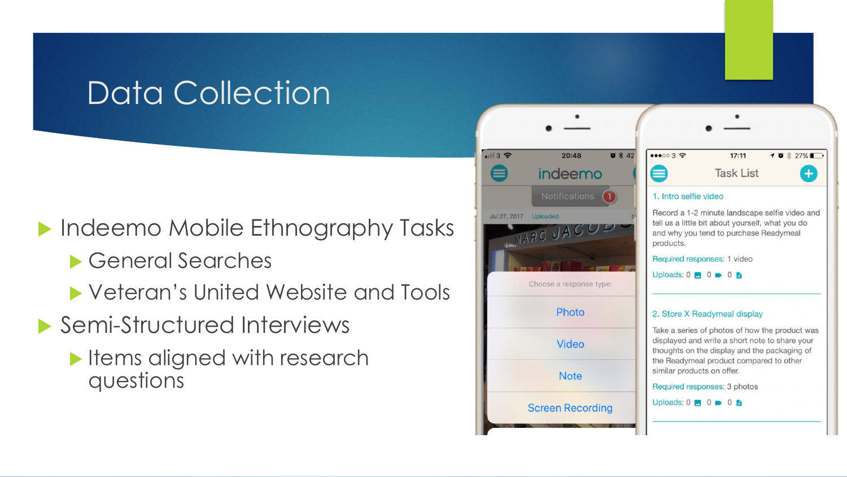# Data Collection

**Indeemo Mobile Ethnography Tasks** 

- General Searches
- ▶ Veteran's United Website and Tools
- ▶ Semi-Structured Interviews
	- Items aligned with research questions



| 000035                         | 17:11                                                                                                                                        | $10 \times 27\%$ |
|--------------------------------|----------------------------------------------------------------------------------------------------------------------------------------------|------------------|
|                                | <b>Task List</b>                                                                                                                             |                  |
| 1. Intro selfie video          |                                                                                                                                              |                  |
| products.                      | Record a 1-2 minute landscape selfie video and<br>tell us a little bit about yourself, what you do<br>and why you tend to purchase Readymeal |                  |
|                                | Required responses: 1 video                                                                                                                  |                  |
| Uploads: $0 \times 0 \times 0$ |                                                                                                                                              |                  |
|                                | 2. Store X Readymeal display                                                                                                                 |                  |
|                                | Take a series of photos of how the product was                                                                                               |                  |

displayed and write a short note to share your thoughts on the display and the packaging of the Readymeal product compared to other similar products on offer.

Required responses: 3 photos

Uploads:  $0 \bullet 0 \bullet 0$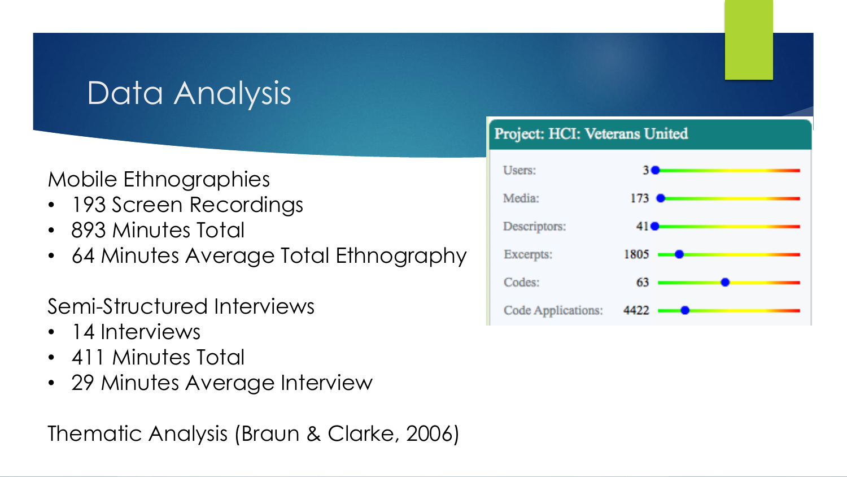# Data Analysis

### Mobile Ethnographies

- 193 Screen Recordings
- 893 Minutes Total
- 64 Minutes Average Total Ethnography

Semi-Structured Interviews

- 14 Interviews
- 411 Minutes Total
- 29 Minutes Average Interview

Thematic Analysis (Braun & Clarke, 2006)

#### Project: HCI: Veterans United

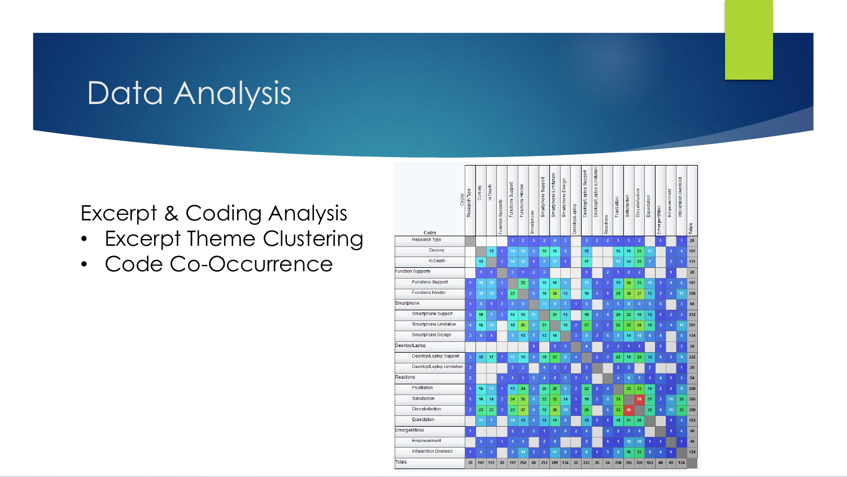# Data Analysis

#### Excerpt & Coding Analysis

- Excerpt Theme Clustering
- Code Co-Occurrence

| Codes<br>Codes              | Research Type        | Cursory                 | In Depth                | Function Supports       | Functions Support       | Functions Hinder        | Smartphone       | Smartphone Support | Smartphone Limitation | Smartphone Design       | <b>Desktop/Laptop</b> | Desktop/Laptop Support  | Desktop/Laptop Limitation | Reactions            | Frustration             | <b>Satisfaction</b>     | <b>Dissatisfaction</b> | Expectation          | EmergentMisc            | Empowerment             | inforamtion Overload | Totals |
|-----------------------------|----------------------|-------------------------|-------------------------|-------------------------|-------------------------|-------------------------|------------------|--------------------|-----------------------|-------------------------|-----------------------|-------------------------|---------------------------|----------------------|-------------------------|-------------------------|------------------------|----------------------|-------------------------|-------------------------|----------------------|--------|
| Research Type               |                      |                         |                         |                         | $\ddagger$              | $\overline{2}$          | $\blacksquare$   | $\overline{2}$     | $\ddot{4}$            | $\overline{\mathbf{3}}$ |                       | $\overline{3}$          | $\overline{2}$            | $\overline{2}$       | $\overline{1}$          | $\blacktriangleleft$    | $\overline{2}$         |                      | $\overline{1}$          |                         | $\mathbf{f}$         | 26     |
| Cursory                     |                      |                         | 13                      | $\mathbf{I}$            | 10 <sub>1</sub>         | 10                      | $\overline{5}$   | 19                 | 15                    | 4                       |                       | 12                      |                           |                      | 15                      | 16                      | 23                     | 11                   |                         | 3                       | 4                    | 161    |
| In Depth                    |                      | 13                      |                         | $\overline{1}$          | 10 <sub>10</sub>        | 10                      | 4                | $\overline{t}$     | 14                    | $\blacktriangleleft$    |                       | 17                      |                           |                      | 11                      | 14                      | 22                     | $\overline{7}$       |                         | 3                       | 3                    | 131    |
| <b>Function Supports</b>    |                      | $\overline{\mathbf{1}}$ | $\ddot{\phantom{1}}$    |                         | $\overline{\mathbf{3}}$ | $\blacktriangleleft$    | $\overline{2}$   | 3                  |                       |                         |                       | $\overline{1}$          |                           | $\bf 2$              | 4                       | $\overline{2}$          | $\overline{2}$         |                      |                         | $\blacksquare$          |                      | 20     |
| <b>Functions Support</b>    | $\ddot{\phantom{a}}$ | 10                      | 10                      | $\overline{3}$          |                         | 22                      | $\overline{5}$   | 15                 | 16                    | 9                       |                       | 11                      | $\overline{2}$            | $\overline{2}$       | 13                      | 34                      | 23                     | 10                   | $\overline{2}$          | $\overline{\mathbf{4}}$ | 5                    | 197    |
| <b>Functions Hinder</b>     | $\overline{2}$       | 10                      | 10                      | $\overline{1}$          | 22                      |                         | $\overline{5}$   | 16                 | 35                    | 13                      |                       | 15                      | $\overline{3}$            | $\overline{1}$       | 24                      | 35                      | 37                     | 12                   | $\overline{2}$          | $\overline{4}$          | 11                   | 258    |
| Smartphone                  | Ŧ                    | 5                       | $\blacksquare$          | $\overline{\mathbf{2}}$ | $\overline{5}$          | $\overline{5}$          |                  | 11                 | $\mathbf{9}$          | $\overline{7}$          | 1                     | 5                       |                           | $\overline{5}$       | $\overline{5}$          | 8                       | 6                      | $\bf 6$              | $\overline{\mathbf{3}}$ |                         | 3                    | 88     |
| Smartphone Support          | $\overline{2}$       | 19                      | $\overline{7}$          | $\overline{\mathbf{3}}$ | 15                      | 16                      | 11               |                    | 21                    | 13                      |                       | 19                      | $\overline{4}$            | $\ddot{4}$           | 20                      | 22                      | 18                     | 12                   | ٠                       | $\overline{2}$          | $\overline{3}$       | 212    |
| Smartphone Limitation       | $\overline{4}$       | 15                      | 11                      |                         | 16                      | 35                      | $\overline{9}$   | 21                 |                       | 16                      | $\overline{2}$        | 27                      | $\overline{3}$            | $\overline{2}$       | 25                      | 32                      | 36                     | 19                   | $\overline{\mathbf{3}}$ | $\overline{4}$          | 11                   | 291    |
| Smartphone Design           | $\overline{3}$       | 4                       | 1                       |                         | $\overline{9}$          | 13                      | $\overline{7}$   | 13                 | 16                    |                         | $\overline{3}$        | 9                       | $\overline{a}$            | $\overline{5}$       | 9                       | 14                      | 10                     | 6 <sup>°</sup>       | 4                       |                         | 6                    | 134    |
| Desktop/Laptop              |                      |                         |                         |                         |                         |                         | 4                |                    | $\overline{2}$        | $\overline{\mathbf{3}}$ |                       | $\overline{4}$          |                           | $\overline{2}$       | $\overline{a}$          | 1                       | 1                      |                      | $\overline{2}$          |                         | $\overline{2}$       | 20     |
| Desktop/Laptop Support      | $\overline{3}$       | 12                      | 17                      | $\ddot{\phantom{1}}$    | 11                      | 15                      | $5\phantom{.0}$  | 19                 | 27                    | 9                       | $\overline{4}$        |                         | $\overline{2}$            | $\overline{3}$       | 22                      | 19                      | 25                     | 12                   | 4                       | 3                       | 9                    | 222    |
| Desktop/Laptop Limitation   | $\overline{2}$       |                         |                         |                         | $\overline{2}$          | $\overline{3}$          |                  | 4                  | $\overline{3}$        | $\overline{2}$          |                       | $\overline{2}$          |                           |                      | $\overline{2}$          | 3                       |                        | $\overline{2}$       |                         |                         | 1                    | 26     |
| Reactions                   | $\overline{2}$       |                         |                         | $\overline{2}$          | $\overline{2}$          | $\blacktriangleleft$    | $\overline{5}$   | 4                  | $\overline{2}$        | 5                       | $\overline{2}$        | 3                       |                           |                      | $\overline{4}$          | 8                       | 5                      | $\blacktriangleleft$ | 4                       | 1                       | 3                    | 54     |
| Frustration                 | $\ddot{\textbf{1}}$  | 15                      | 11                      | 4                       | 13                      | 24                      | $\overline{5}$   | 20                 | 25                    | 9                       | $\overline{2}$        | 22                      | $\overline{2}$            | $\overline{4}$       |                         | 33                      | 33                     | 18                   | $\overline{2}$          | $\blacksquare$          | 9                    | 250    |
| Satisfaction                | $\mathbf{1}$         | 16                      | 14                      | $\overline{2}$          | 34                      | 35                      | $\boldsymbol{8}$ | 22                 | 32                    | 14                      | $\overline{1}$        | 19                      | $\overline{3}$            | 8                    | 33                      |                         | 59                     | 21                   | 3                       | 10 <sub>10</sub>        | 20                   | 355    |
| Dissatisfaction             | $\overline{2}$       | 23                      | 22                      | $\overline{2}$          | 23                      | 37                      | $\bf{6}$         | 18                 | 36                    | 10                      | $\blacktriangleleft$  | 25                      |                           | $\overline{5}$       | 33                      | 59                      |                        | 20                   | 4                       | 10                      | 23                   | 359    |
| Expectation                 |                      | 11                      | $\overline{7}$          |                         | 10                      | 12                      | $6\phantom{.}6$  | 12                 | 19                    | 6                       |                       | 12                      | $\overline{2}$            | $\blacktriangleleft$ | 18                      | 21                      | 20                     |                      |                         | $\blacksquare$          | 5                    | 163    |
| Emergent/Misc               | $\ddot{\mathbf{1}}$  |                         |                         |                         | $\overline{2}$          | $\overline{2}$          | $\overline{3}$   | 1                  | $\overline{3}$        | $\overline{\bf{4}}$     | $\overline{2}$        | $\overline{4}$          |                           | $\overline{4}$       | $\overline{\mathbf{2}}$ | $\overline{\mathbf{3}}$ | 4                      |                      |                         | 4                       | $\overline{4}$       | 40     |
| Empowerment                 |                      | $\overline{3}$          | $\overline{\mathbf{3}}$ | 1                       | $\overline{4}$          | $\overline{\mathbf{4}}$ |                  | $\overline{2}$     | $\overline{4}$        |                         |                       | $\overline{\mathbf{3}}$ |                           | $\mathbf{f}$         | 1                       | 10                      | 10                     | $\blacktriangleleft$ | 1                       |                         | 1                    | 49     |
| <b>Inforamtion Overload</b> | $\ddot{\phantom{1}}$ | 4                       | $\overline{3}$          |                         | $\overline{5}$          | 11                      | $\overline{3}$   | $\overline{3}$     | 11                    | 6 <sup>°</sup>          | $\overline{2}$        | $\overline{9}$          | $\mathbf{I}$              | $\overline{3}$       | -9                      | 20                      | 23                     | $5\phantom{.0}$      | 4                       | 1                       |                      | 124    |
| <b>Totals</b>               | 26                   | 161                     | 131                     | 20                      | 197                     | 258                     | 88               | 212                | 291                   | 134                     | 20                    | 222                     | 26                        | 54                   | 250                     | 355                     | 359                    | 163                  | 40                      | 49                      | 124                  |        |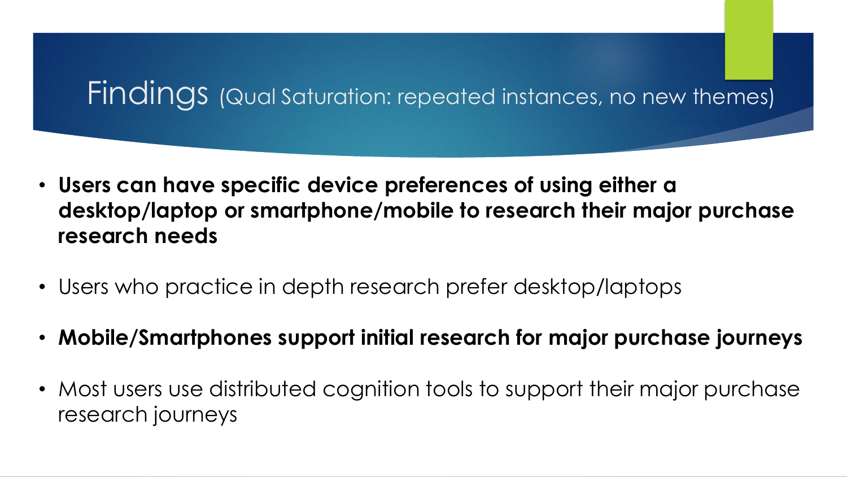## Findings (Qual Saturation: repeated instances, no new themes)

- **Users can have specific device preferences of using either a desktop/laptop or smartphone/mobile to research their major purchase research needs**
- Users who practice in depth research prefer desktop/laptops
- **Mobile/Smartphones support initial research for major purchase journeys**
- Most users use distributed cognition tools to support their major purchase research journeys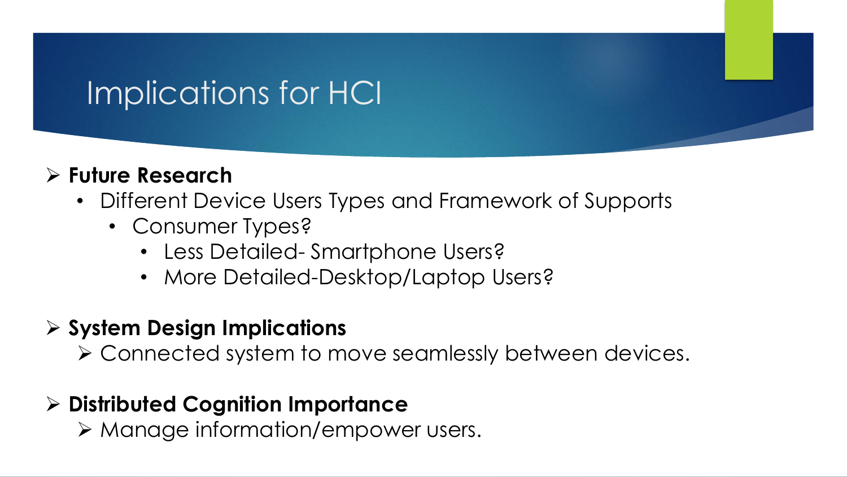# Implications for HCI

#### **Future Research**

- Different Device Users Types and Framework of Supports
	- Consumer Types?
		- Less Detailed- Smartphone Users?
		- More Detailed-Desktop/Laptop Users?

#### **System Design Implications**

Connected system to move seamlessly between devices.

#### **Distributed Cognition Importance**

Manage information/empower users.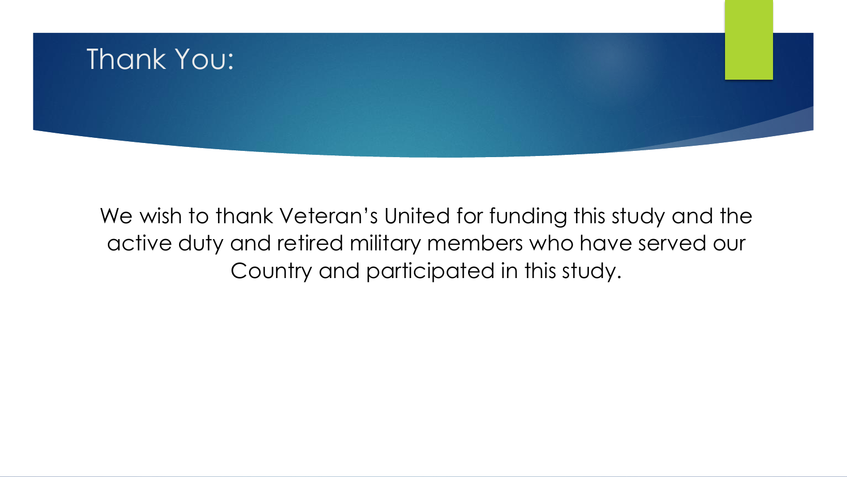

We wish to thank Veteran's United for funding this study and the active duty and retired military members who have served our Country and participated in this study.